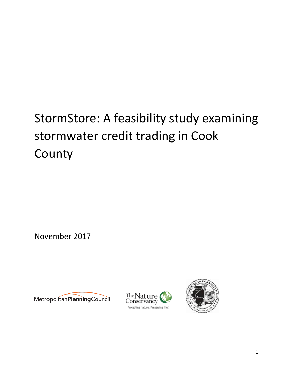# StormStore: A feasibility study examining stormwater credit trading in Cook County

November 2017





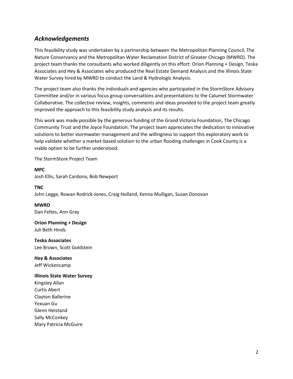## *Acknowledgements*

This feasibility study was undertaken by a partnership between the Metropolitan Planning Council, The Nature Conservancy and the Metropolitan Water Reclamation District of Greater Chicago (MWRD). The project team thanks the consultants who worked diligently on this effort: Orion Planning + Design, Teska Associates and Hey & Associates who produced the Real Estate Demand Analysis and the Illinois State Water Survey hired by MWRD to conduct the Land & Hydrologic Analysis.

The project team also thanks the individuals and agencies who participated in the StormStore Advisory Committee and/or in various focus group conversations and presentations to the Calumet Stormwater Collaborative. The collective review, insights, comments and ideas provided to the project team greatly improved the approach to this feasibility study analysis and its results.

This work was made possible by the generous funding of the Grand Victoria Foundation, The Chicago Community Trust and the Joyce Foundation. The project team appreciates the dedication to innovative solutions to better stormwater management and the willingness to support this exploratory work to help validate whether a market-based solution to the urban flooding challenges in Cook County is a viable option to be further understood.

The StormStore Project Team

**MPC** Josh Ellis, Sarah Cardona, Bob Newport

**TNC** John Legge, Rowan Rodrick-Jones, Craig Holland, Kenna Mulligan, Susan Donovan

**MWRD** Dan Feltes, Ann Gray

**Orion Planning + Design** Juli Beth Hinds

**Teska Associates** Lee Brown, Scott Goldstein

**Hey & Associates** Jeff Wickencamp

#### **Illinois State Water Survey**

Kingsley Allan Curtis Abert Clayton Ballerine Yexuan Gu Glenn Heistand Sally McConkey Mary Patricia McGuire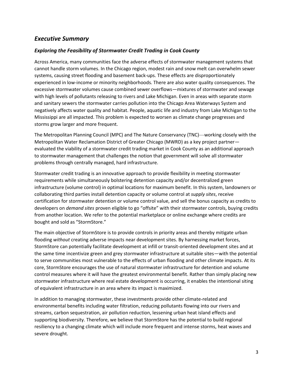## *Executive Summary*

## *Exploring the Feasibility of Stormwater Credit Trading in Cook County*

Across America, many communities face the adverse effects of stormwater management systems that cannot handle storm volumes. In the Chicago region, modest rain and snow melt can overwhelm sewer systems, causing street flooding and basement back-ups. These effects are disproportionately experienced in low-income or minority neighborhoods. There are also water quality consequences. The excessive stormwater volumes cause combined sewer overflows—mixtures of stormwater and sewage with high levels of pollutants releasing to rivers and Lake Michigan. Even in areas with separate storm and sanitary sewers the stormwater carries pollution into the Chicago Area Waterways System and negatively affects water quality and habitat. People, aquatic life and industry from Lake Michigan to the Mississippi are all impacted. This problem is expected to worsen as climate change progresses and storms grow larger and more frequent.

The Metropolitan Planning Council (MPC) and The Nature Conservancy (TNC)—working closely with the Metropolitan Water Reclamation District of Greater Chicago (MWRD) as a key project partner evaluated the viability of a stormwater credit trading market in Cook County as an additional approach to stormwater management that challenges the notion that government will solve all stormwater problems through centrally managed, hard infrastructure.

Stormwater credit trading is an innovative approach to provide flexibility in meeting stormwater requirements while simultaneously bolstering detention capacity and/or decentralized green infrastructure (volume control) in optimal locations for maximum benefit. In this system, landowners or collaborating third parties install detention capacity or volume control at *supply sites*, receive certification for stormwater detention or volume control value, and sell the bonus capacity as credits to developers on *demand sites* proven eligible to go "offsite" with their stormwater controls, buying credits from another location. We refer to the potential marketplace or online exchange where credits are bought and sold as "StormStore."

The main objective of StormStore is to provide controls in priority areas and thereby mitigate urban flooding *without* creating adverse impacts near development sites. By harnessing market forces, StormStore can potentially facilitate development at infill or transit-oriented development sites and at the same time incentivize green and grey stormwater infrastructure at suitable sites—with the potential to serve communities most vulnerable to the effects of urban flooding and other climate impacts. At its core, StormStore encourages the use of natural stormwater infrastructure for detention and volume control measures where it will have the greatest environmental benefit. Rather than simply placing new stormwater infrastructure where real estate development is occurring, it enables the intentional siting of equivalent infrastructure in an area where its impact is maximized.

In addition to managing stormwater, these investments provide other climate-related and environmental benefits including water filtration, reducing pollutants flowing into our rivers and streams, carbon sequestration, air pollution reduction, lessening urban heat island effects and supporting biodiversity. Therefore, we believe that StormStore has the potential to build regional resiliency to a changing climate which will include more frequent and intense storms, heat waves and severe drought.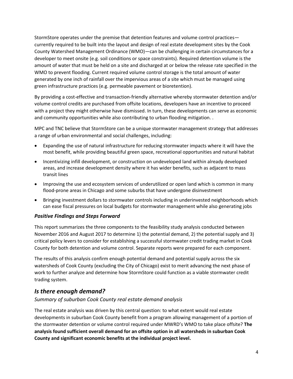StormStore operates under the premise that detention features and volume control practices currently required to be built into the layout and design of real estate development sites by the Cook County Watershed Management Ordinance (WMO)—can be challenging in certain circumstances for a developer to meet onsite (e.g. soil conditions or space constraints). Required detention volume is the amount of water that must be held on a site and discharged at or below the release rate specified in the WMO to prevent flooding. Current required volume control storage is the total amount of water generated by one inch of rainfall over the impervious areas of a site which must be managed using green infrastructure practices (e.g. permeable pavement or bioretention).

By providing a cost-effective and transaction-friendly alternative whereby stormwater detention and/or volume control credits are purchased from offsite locations, developers have an incentive to proceed with a project they might otherwise have dismissed. In turn, these developments can serve as economic and community opportunities while also contributing to urban flooding mitigation. .

MPC and TNC believe that StormStore can be a unique stormwater management strategy that addresses a range of urban environmental and social challenges, including:

- Expanding the use of natural infrastructure for reducing stormwater impacts where it will have the most benefit, while providing beautiful green space, recreational opportunities and natural habitat
- Incentivizing infill development, or construction on undeveloped land within already developed areas, and increase development density where it has wider benefits, such as adjacent to mass transit lines
- Improving the use and ecosystem services of underutilized or open land which is common in many flood-prone areas in Chicago and some suburbs that have undergone disinvestment
- Bringing investment dollars to stormwater controls including in underinvested neighborhoods which can ease fiscal pressures on local budgets for stormwater management while also generating jobs

### *Positive Findings and Steps Forward*

This report summarizes the three components to the feasibility study analysis conducted between November 2016 and August 2017 to determine 1) the potential demand, 2) the potential supply and 3) critical policy levers to consider for establishing a successful stormwater credit trading market in Cook County for both detention and volume control. Separate reports were prepared for each component.

The results of this analysis confirm enough potential demand and potential supply across the six watersheds of Cook County (excluding the City of Chicago) exist to merit advancing the next phase of work to further analyze and determine how StormStore could function as a viable stormwater credit trading system.

### *Is there enough demand?*

### *Summary of suburban Cook County real estate demand analysis*

The real estate analysis was driven by this central question: to what extent would real estate developments in suburban Cook County benefit from a program allowing management of a portion of the stormwater detention or volume control required under MWRD's WMO to take place offsite? **The analysis found sufficient overall demand for an offsite option in all watersheds in suburban Cook County and significant economic benefits at the individual project level.**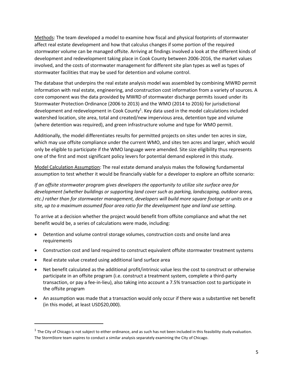Methods: The team developed a model to examine how fiscal and physical footprints of stormwater affect real estate development and how that calculus changes if some portion of the required stormwater volume can be managed offsite. Arriving at findings involved a look at the different kinds of development and redevelopment taking place in Cook County between 2006-2016, the market values involved, and the costs of stormwater management for different site plan types as well as types of stormwater facilities that may be used for detention and volume control.

The database that underpins the real estate analysis model was assembled by combining MWRD permit information with real estate, engineering, and construction cost information from a variety of sources. A core component was the data provided by MWRD of stormwater discharge permits issued under its Stormwater Protection Ordinance (2006 to 2013) and the WMO (2014 to 2016) for jurisdictional development and redevelopment in Cook County<sup>1</sup>. Key data used in the model calculations included watershed location, site area, total and created/new impervious area, detention type and volume (where detention was required), and green infrastructure volume and type for WMO permit.

Additionally, the model differentiates results for permitted projects on sites under ten acres in size, which may use offsite compliance under the current WMO, and sites ten acres and larger, which would only be eligible to participate if the WMO language were amended. Site size eligibility thus represents one of the first and most significant policy levers for potential demand explored in this study.

Model Calculation Assumption: The real estate demand analysis makes the following fundamental assumption to test whether it would be financially viable for a developer to explore an offsite scenario:

*If an offsite stormwater program gives developers the opportunity to utilize site surface area for development (whether buildings or supporting land cover such as parking, landscaping, outdoor areas, etc.) rather than for stormwater management, developers will build more square footage or units on a site, up to a maximum assumed floor area ratio for the development type and land use setting.*

To arrive at a decision whether the project would benefit from offsite compliance and what the net benefit would be, a series of calculations were made, including:

- Detention and volume control storage volumes, construction costs and onsite land area requirements
- Construction cost and land required to construct equivalent offsite stormwater treatment systems
- Real estate value created using additional land surface area

 $\overline{a}$ 

- Net benefit calculated as the additional profit/intrinsic value less the cost to construct or otherwise participate in an offsite program (i.e. construct a treatment system, complete a third-party transaction, or pay a fee-in-lieu), also taking into account a 7.5% transaction cost to participate in the offsite program
- An assumption was made that a transaction would only occur if there was a substantive net benefit (in this model, at least USD\$20,000).

 $^1$  The City of Chicago is not subject to either ordinance, and as such has not been included in this feasibility study evaluation. The StormStore team aspires to conduct a similar analysis separately examining the City of Chicago.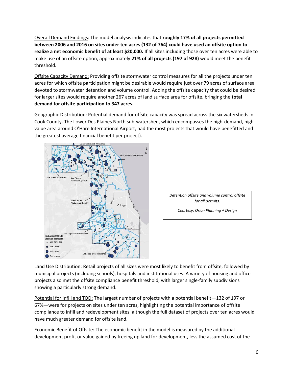Overall Demand Findings: The model analysis indicates that **roughly 17% of all projects permitted between 2006 and 2016 on sites under ten acres (132 of 764) could have used an offsite option to realize a net economic benefit of at least \$20,000.** If all sites including those over ten acres were able to make use of an offsite option, approximately **21% of all projects (197 of 928)** would meet the benefit threshold.

Offsite Capacity Demand: Providing offsite stormwater control measures for all the projects under ten acres for which offsite participation might be desirable would require just over 79 acres of surface area devoted to stormwater detention and volume control. Adding the offsite capacity that could be desired for larger sites would require another 267 acres of land surface area for offsite, bringing the **total demand for offsite participation to 347 acres.**

Geographic Distribution: Potential demand for offsite capacity was spread across the six watersheds in Cook County. The Lower Des Plaines North sub-watershed, which encompasses the high-demand, highvalue area around O'Hare International Airport, had the most projects that would have benefitted and the greatest average financial benefit per project).



*Detention offsite and volume control offsite for all permits.* 

*Courtesy: Orion Planning + Design*

Land Use Distribution: Retail projects of all sizes were most likely to benefit from offsite, followed by municipal projects (including schools), hospitals and institutional uses. A variety of housing and office projects also met the offsite compliance benefit threshold, with larger single-family subdivisions showing a particularly strong demand.

Potential for Infill and TOD: The largest number of projects with a potential benefit—132 of 197 or 67%—were for projects on sites under ten acres, highlighting the potential importance of offsite compliance to infill and redevelopment sites, although the full dataset of projects over ten acres would have much greater demand for offsite land.

Economic Benefit of Offsite: The economic benefit in the model is measured by the additional development profit or value gained by freeing up land for development, less the assumed cost of the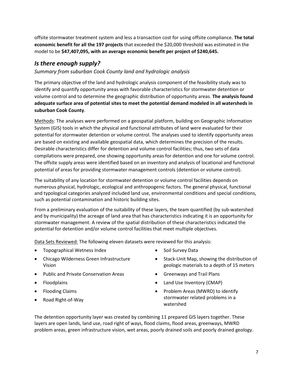offsite stormwater treatment system and less a transaction cost for using offsite compliance. **The total economic benefit for all the 197 projects** that exceeded the \$20,000 threshold was estimated in the model to be **\$47,407,095, with an average economic benefit per project of \$240,645.**

# *Is there enough supply?*

## *Summary from suburban Cook County land and hydrologic analysis*

The primary objective of the land and hydrologic analysis component of the feasibility study was to identify and quantify opportunity areas with favorable characteristics for stormwater detention or volume control and to determine the geographic distribution of opportunity areas. **The analysis found adequate surface area of potential sites to meet the potential demand modeled in all watersheds in suburban Cook County**.

Methods: The analyses were performed on a geospatial platform, building on Geographic Information System (GIS) tools in which the physical and functional attributes of land were evaluated for their potential for stormwater detention or volume control. The analyses used to identify opportunity areas are based on existing and available geospatial data, which determines the precision of the results. Desirable characteristics differ for detention and volume control facilities; thus, two sets of data compilations were prepared, one showing opportunity areas for detention and one for volume control. The offsite supply areas were identified based on an inventory and analysis of locational and functional potential of areas for providing stormwater management controls (detention or volume control).

The suitability of any location for stormwater detention or volume control facilities depends on numerous physical, hydrologic, ecological and anthropogenic factors. The general physical, functional and typological categories analyzed included land use, environmental conditions and special conditions, such as potential contamination and historic building sites.

From a preliminary evaluation of the suitability of these layers, the team quantified (by sub-watershed and by municipality) the acreage of land area that has characteristics indicating it is an opportunity for stormwater management. A review of the spatial distribution of these characteristics indicated the potential for detention and/or volume control facilities that meet multiple objectives.

Data Sets Reviewed: The following eleven datasets were reviewed for this analysis:

- Topographical Wetness Index
- Chicago Wilderness Green Infrastructure Vision
- Public and Private Conservation Areas
- Floodplains
- Flooding Claims
- Road Right-of-Way
- Soil Survey Data
- Stack-Unit Map, showing the distribution of geologic materials to a depth of 15 meters
- Greenways and Trail Plans
- Land Use Inventory (CMAP)
- Problem Areas (MWRD) to identify stormwater related problems in a watershed

The detention opportunity layer was created by combining 11 prepared GIS layers together. These layers are open lands, land use, road right of ways, flood claims, flood areas, greenways, MWRD problem areas, green infrastructure vision, wet areas, poorly drained soils and poorly drained geology.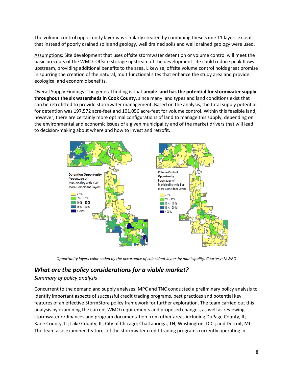The volume control opportunity layer was similarly created by combining these same 11 layers except that instead of poorly drained soils and geology, well drained soils and well drained geology were used.

Assumptions: Site development that uses offsite stormwater detention or volume control will meet the basic precepts of the WMO. Offsite storage upstream of the development site could reduce peak flows upstream, providing additional benefits to the area. Likewise, offsite volume control holds great promise in spurring the creation of the natural, multifunctional sites that enhance the study area and provide ecological and economic benefits.

Overall Supply Findings: The general finding is that **ample land has the potential for stormwater supply throughout the six watersheds in Cook County**, since many land types and land conditions exist that can be retrofitted to provide stormwater management. Based on the analysis, the total supply potential for detention was 197,572 acre-feet and 101,056 acre-feet for volume control. Within this feasible land, however, there are certainly more optimal configurations of land to manage this supply, depending on the environmental and economic issues of a given municipality and of the market drivers that will lead to decision-making about where and how to invest and retrofit.



*Opportunity layers color coded by the occurrence of coincident layers by municipality. Courtesy: MWRD*

# *What are the policy considerations for a viable market?*

## *Summary of policy analysis*

Concurrent to the demand and supply analyses, MPC and TNC conducted a preliminary policy analysis to identify important aspects of successful credit trading programs, best practices and potential key features of an effective StormStore policy framework for further exploration. The team carried out this analysis by examining the current WMO requirements and proposed changes, as well as reviewing stormwater ordinances and program documentation from other areas including DuPage County, IL; Kane County, IL; Lake County, IL; City of Chicago; Chattanooga, TN; Washington, D.C.; and Detroit, MI. The team also examined features of the stormwater credit trading programs currently operating in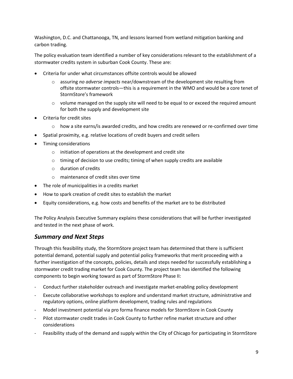Washington, D.C. and Chattanooga, TN, and lessons learned from wetland mitigation banking and carbon trading.

The policy evaluation team identified a number of key considerations relevant to the establishment of a stormwater credits system in suburban Cook County. These are:

- Criteria for under what circumstances offsite controls would be allowed
	- o assuring *no adverse impacts* near/downstream of the development site resulting from offsite stormwater controls—this is a requirement in the WMO and would be a core tenet of StormStore's framework
	- $\circ$  volume managed on the supply site will need to be equal to or exceed the required amount for both the supply and development site
- Criteria for credit sites
	- $\circ$  how a site earns/is awarded credits, and how credits are renewed or re-confirmed over time
- Spatial proximity, e.g. relative locations of credit buyers and credit sellers
- Timing considerations
	- $\circ$  initiation of operations at the development and credit site
	- o timing of decision to use credits; timing of when supply credits are available
	- o duration of credits
	- o maintenance of credit sites over time
- The role of municipalities in a credits market
- How to spark creation of credit sites to establish the market
- Equity considerations, e.g. how costs and benefits of the market are to be distributed

The Policy Analysis Executive Summary explains these considerations that will be further investigated and tested in the next phase of work.

## *Summary and Next Steps*

Through this feasibility study, the StormStore project team has determined that there is sufficient potential demand, potential supply and potential policy frameworks that merit proceeding with a further investigation of the concepts, policies, details and steps needed for successfully establishing a stormwater credit trading market for Cook County. The project team has identified the following components to begin working toward as part of StormStore Phase II:

- Conduct further stakeholder outreach and investigate market-enabling policy development
- Execute collaborative workshops to explore and understand market structure, administrative and regulatory options, online platform development, trading rules and regulations
- Model investment potential via pro forma finance models for StormStore in Cook County
- Pilot stormwater credit trades in Cook County to further refine market structure and other considerations
- Feasibility study of the demand and supply within the City of Chicago for participating in StormStore